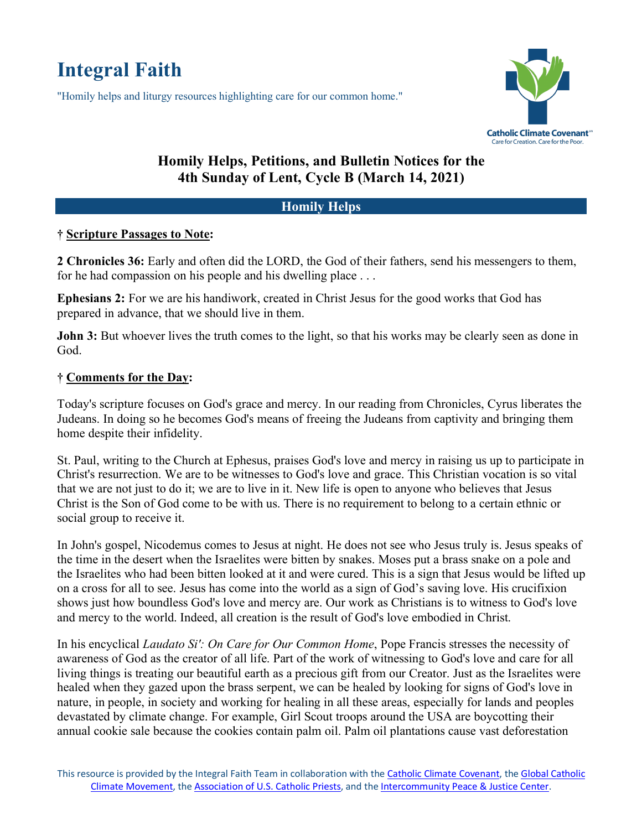# **Integral Faith**

"Homily helps and liturgy resources highlighting care for our common home."



## **Homily Helps, Petitions, and Bulletin Notices for the 4th Sunday of Lent, Cycle B (March 14, 2021)**

### **Homily Helps**

#### **† Scripture Passages to Note:**

**2 Chronicles 36:** Early and often did the LORD, the God of their fathers, send his messengers to them, for he had compassion on his people and his dwelling place . . .

**Ephesians 2:** For we are his handiwork, created in Christ Jesus for the good works that God has prepared in advance, that we should live in them.

**John 3:** But whoever lives the truth comes to the light, so that his works may be clearly seen as done in God.

#### **† Comments for the Day:**

Today's scripture focuses on God's grace and mercy. In our reading from Chronicles, Cyrus liberates the Judeans. In doing so he becomes God's means of freeing the Judeans from captivity and bringing them home despite their infidelity.

St. Paul, writing to the Church at Ephesus, praises God's love and mercy in raising us up to participate in Christ's resurrection. We are to be witnesses to God's love and grace. This Christian vocation is so vital that we are not just to do it; we are to live in it. New life is open to anyone who believes that Jesus Christ is the Son of God come to be with us. There is no requirement to belong to a certain ethnic or social group to receive it.

In John's gospel, Nicodemus comes to Jesus at night. He does not see who Jesus truly is. Jesus speaks of the time in the desert when the Israelites were bitten by snakes. Moses put a brass snake on a pole and the Israelites who had been bitten looked at it and were cured. This is a sign that Jesus would be lifted up on a cross for all to see. Jesus has come into the world as a sign of God's saving love. His crucifixion shows just how boundless God's love and mercy are. Our work as Christians is to witness to God's love and mercy to the world. Indeed, all creation is the result of God's love embodied in Christ.

In his encyclical *Laudato Si': On Care for Our Common Home*, Pope Francis stresses the necessity of awareness of God as the creator of all life. Part of the work of witnessing to God's love and care for all living things is treating our beautiful earth as a precious gift from our Creator. Just as the Israelites were healed when they gazed upon the brass serpent, we can be healed by looking for signs of God's love in nature, in people, in society and working for healing in all these areas, especially for lands and peoples devastated by climate change. For example, Girl Scout troops around the USA are boycotting their annual cookie sale because the cookies contain palm oil. Palm oil plantations cause vast deforestation